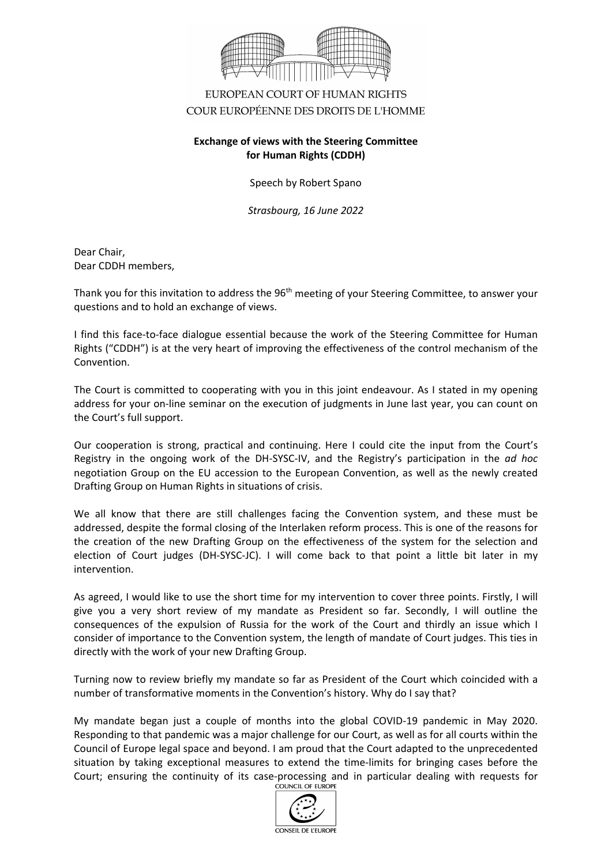

## EUROPEAN COURT OF HUMAN RIGHTS COUR EUROPÉENNE DES DROITS DE L'HOMME

## **Exchange of views with the Steering Committee for Human Rights (CDDH)**

Speech by Robert Spano

*Strasbourg, 16 June 2022*

Dear Chair, Dear CDDH members,

Thank you for this invitation to address the 96<sup>th</sup> meeting of your Steering Committee, to answer your questions and to hold an exchange of views.

I find this face-to-face dialogue essential because the work of the Steering Committee for Human Rights ("CDDH") is at the very heart of improving the effectiveness of the control mechanism of the Convention.

The Court is committed to cooperating with you in this joint endeavour. As I stated in my opening address for your on-line seminar on the execution of judgments in June last year, you can count on the Court's full support.

Our cooperation is strong, practical and continuing. Here I could cite the input from the Court's Registry in the ongoing work of the DH-SYSC-IV, and the Registry's participation in the *ad hoc* negotiation Group on the EU accession to the European Convention, as well as the newly created Drafting Group on Human Rights in situations of crisis.

We all know that there are still challenges facing the Convention system, and these must be addressed, despite the formal closing of the Interlaken reform process. This is one of the reasons for the creation of the new Drafting Group on the effectiveness of the system for the selection and election of Court judges (DH-SYSC-JC). I will come back to that point a little bit later in my intervention.

As agreed, I would like to use the short time for my intervention to cover three points. Firstly, I will give you a very short review of my mandate as President so far. Secondly, I will outline the consequences of the expulsion of Russia for the work of the Court and thirdly an issue which I consider of importance to the Convention system, the length of mandate of Court judges. This ties in directly with the work of your new Drafting Group.

Turning now to review briefly my mandate so far as President of the Court which coincided with a number of transformative moments in the Convention's history. Why do I say that?

My mandate began just a couple of months into the global COVID-19 pandemic in May 2020. Responding to that pandemic was a major challenge for our Court, as well as for all courts within the Council of Europe legal space and beyond. I am proud that the Court adapted to the unprecedented situation by taking exceptional measures to extend the time-limits for bringing cases before the Court; ensuring the continuity of its case-processing and in particular dealing with requests for<br>
COUNCIL OF EUROPE

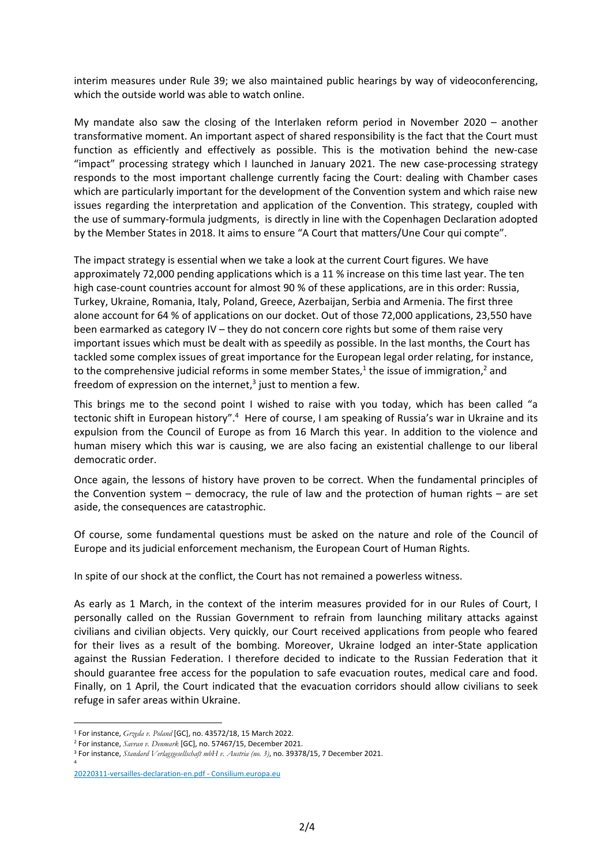interim measures under Rule 39; we also maintained public hearings by way of videoconferencing, which the outside world was able to watch online.

My mandate also saw the closing of the Interlaken reform period in November 2020 – another transformative moment. An important aspect of shared responsibility is the fact that the Court must function as efficiently and effectively as possible. This is the motivation behind the new-case "impact" processing strategy which I launched in January 2021. The new case-processing strategy responds to the most important challenge currently facing the Court: dealing with Chamber cases which are particularly important for the development of the Convention system and which raise new issues regarding the interpretation and application of the Convention. This strategy, coupled with the use of summary-formula judgments, is directly in line with the Copenhagen Declaration adopted by the Member States in 2018. It aims to ensure "A Court that matters/Une Cour qui compte".

The impact strategy is essential when we take a look at the current Court figures. We have approximately 72,000 pending applications which is a 11 % increase on this time last year. The ten high case-count countries account for almost 90 % of these applications, are in this order: Russia, Turkey, Ukraine, Romania, Italy, Poland, Greece, Azerbaijan, Serbia and Armenia. The first three alone account for 64 % of applications on our docket. Out of those 72,000 applications, 23,550 have been earmarked as category IV – they do not concern core rights but some of them raise very important issues which must be dealt with as speedily as possible. In the last months, the Court has tackled some complex issues of great importance for the European legal order relating, for instance, to the comprehensive judicial reforms in some member States, $<sup>1</sup>$  the issue of immigration, $<sup>2</sup>$  and</sup></sup> freedom of expression on the internet, $3$  just to mention a few.

This brings me to the second point I wished to raise with you today, which has been called "a tectonic shift in European history".<sup>4</sup> Here of course, I am speaking of Russia's war in Ukraine and its expulsion from the Council of Europe as from 16 March this year. In addition to the violence and human misery which this war is causing, we are also facing an existential challenge to our liberal democratic order.

Once again, the lessons of history have proven to be correct. When the fundamental principles of the Convention system – democracy, the rule of law and the protection of human rights – are set aside, the consequences are catastrophic.

Of course, some fundamental questions must be asked on the nature and role of the Council of Europe and its judicial enforcement mechanism, the European Court of Human Rights.

In spite of our shock at the conflict, the Court has not remained a powerless witness.

As early as 1 March, in the context of the interim measures provided for in our Rules of Court, I personally called on the Russian Government to refrain from launching military attacks against civilians and civilian objects. Very quickly, our Court received applications from people who feared for their lives as a result of the bombing. Moreover, Ukraine lodged an inter-State application against the Russian Federation. I therefore decided to indicate to the Russian Federation that it should guarantee free access for the population to safe evacuation routes, medical care and food. Finally, on 1 April, the Court indicated that the evacuation corridors should allow civilians to seek refuge in safer areas within Ukraine.

<sup>1</sup> For instance, *Grzęda v. Poland* [GC], no. 43572/18, 15 March 2022.

<sup>2</sup> For instance, *Savran v. Denmark* [GC], no. 57467/15, December 2021.

<sup>3</sup> For instance, *[Standard Verlagsgesellschaft mbH](https://www.google.com/url?sa=t&rct=j&q=&esrc=s&source=web&cd=&ved=2ahUKEwj0_ubty8j3AhXiMuwKHakgCZ0QFnoECAcQAQ&url=https%3A%2F%2Fwww.consilium.europa.eu%2Fmedia%2F54773%2F20220311-versailles-declaration-en.pdf&usg=AOvVaw02ovFpg-YyCm2J9Vnv-Q9Q) v. Austria (no. 3)*, no. 39378/15, 7 December 2021. 4

[<sup>20220311-</sup>versailles-declaration-en.pdf - Consilium.europa.eu](https://www.google.com/url?sa=t&rct=j&q=&esrc=s&source=web&cd=&ved=2ahUKEwj0_ubty8j3AhXiMuwKHakgCZ0QFnoECAcQAQ&url=https%3A%2F%2Fwww.consilium.europa.eu%2Fmedia%2F54773%2F20220311-versailles-declaration-en.pdf&usg=AOvVaw02ovFpg-YyCm2J9Vnv-Q9Q)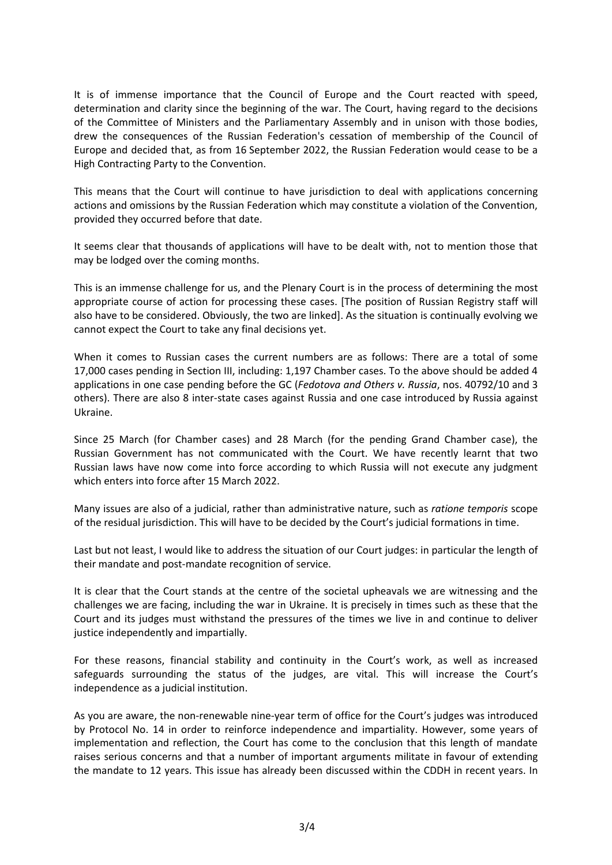It is of immense importance that the Council of Europe and the Court reacted with speed, determination and clarity since the beginning of the war. The Court, having regard to the decisions of the Committee of Ministers and the Parliamentary Assembly and in unison with those bodies, drew the consequences of the Russian Federation's cessation of membership of the Council of Europe and decided that, as from 16 September 2022, the Russian Federation would cease to be a High Contracting Party to the Convention.

This means that the Court will continue to have jurisdiction to deal with applications concerning actions and omissions by the Russian Federation which may constitute a violation of the Convention, provided they occurred before that date.

It seems clear that thousands of applications will have to be dealt with, not to mention those that may be lodged over the coming months.

This is an immense challenge for us, and the Plenary Court is in the process of determining the most appropriate course of action for processing these cases. [The position of Russian Registry staff will also have to be considered. Obviously, the two are linked]. As the situation is continually evolving we cannot expect the Court to take any final decisions yet.

When it comes to Russian cases the current numbers are as follows: There are a total of some 17,000 cases pending in Section III, including: 1,197 Chamber cases. To the above should be added 4 applications in one case pending before the GC (*Fedotova and Others v. Russia*, nos. 40792/10 and 3 others). There are also 8 inter-state cases against Russia and one case introduced by Russia against Ukraine.

Since 25 March (for Chamber cases) and 28 March (for the pending Grand Chamber case), the Russian Government has not communicated with the Court. We have recently learnt that two Russian laws have now come into force according to which Russia will not execute any judgment which enters into force after 15 March 2022.

Many issues are also of a judicial, rather than administrative nature, such as *ratione temporis* scope of the residual jurisdiction. This will have to be decided by the Court's judicial formations in time.

Last but not least, I would like to address the situation of our Court judges: in particular the length of their mandate and post-mandate recognition of service.

It is clear that the Court stands at the centre of the societal upheavals we are witnessing and the challenges we are facing, including the war in Ukraine. It is precisely in times such as these that the Court and its judges must withstand the pressures of the times we live in and continue to deliver justice independently and impartially.

For these reasons, financial stability and continuity in the Court's work, as well as increased safeguards surrounding the status of the judges, are vital. This will increase the Court's independence as a judicial institution.

As you are aware, the non-renewable nine-year term of office for the Court's judges was introduced by Protocol No. 14 in order to reinforce independence and impartiality. However, some years of implementation and reflection, the Court has come to the conclusion that this length of mandate raises serious concerns and that a number of important arguments militate in favour of extending the mandate to 12 years. This issue has already been discussed within the CDDH in recent years. In